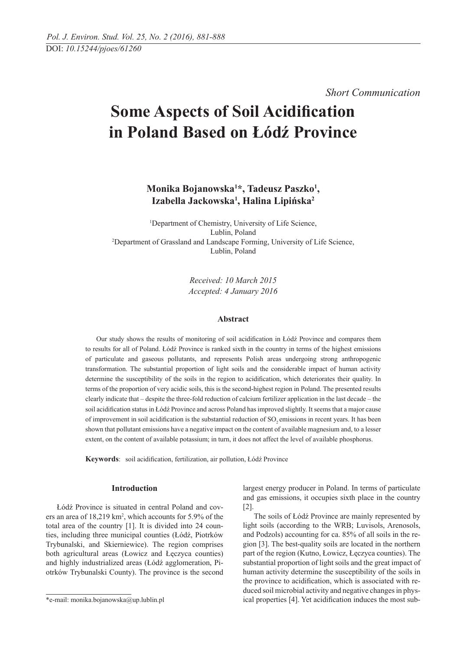*Short Communication* 

# **Some Aspects of Soil Acidification in Poland Based on Łódź Province**

Monika Bojanowska<sup>1\*</sup>, Tadeusz Paszko<sup>1</sup>, **Izabella Jackowska1 , Halina Lipińska2**

1 Department of Chemistry, University of Life Science, Lublin, Poland<br><sup>2</sup>Department of Grassland and Landscape Forming, University of Life Science, Lublin, Poland

> *Received: 10 March 2015 Accepted: 4 January 2016*

#### **Abstract**

Our study shows the results of monitoring of soil acidification in Łódź Province and compares them to results for all of Poland. Łódź Province is ranked sixth in the country in terms of the highest emissions of particulate and gaseous pollutants, and represents Polish areas undergoing strong anthropogenic transformation. The substantial proportion of light soils and the considerable impact of human activity determine the susceptibility of the soils in the region to acidification, which deteriorates their quality. In terms of the proportion of very acidic soils, this is the second-highest region in Poland. The presented results clearly indicate that – despite the three-fold reduction of calcium fertilizer application in the last decade – the soil acidification status in Łódź Province and across Poland has improved slightly. It seems that a major cause of improvement in soil acidification is the substantial reduction of SO<sub>2</sub> emissions in recent years. It has been shown that pollutant emissions have a negative impact on the content of available magnesium and, to a lesser extent, on the content of available potassium; in turn, it does not affect the level of available phosphorus.

Keywords: soil acidification, fertilization, air pollution, Łódź Province

#### **Introduction**

Łódź Province is situated in central Poland and covers an area of 18,219 km<sup>2</sup>, which accounts for 5.9% of the total area of the country [1]. It is divided into 24 counties, including three municipal counties (Łódź, Piotrków Trybunalski, and Skierniewice). The region comprises both agricultural areas (Łowicz and Łęczyca counties) and highly industrialized areas (Łódź agglomeration, Piotrków Trybunalski County). The province is the second

largest energy producer in Poland. In terms of particulate and gas emissions, it occupies sixth place in the country [2].

The soils of Łódź Province are mainly represented by light soils (according to the WRB; Luvisols, Arenosols, and Podzols) accounting for ca. 85% of all soils in the region [3]. The best-quality soils are located in the northern part of the region (Kutno, Łowicz, Łęczyca counties). The substantial proportion of light soils and the great impact of human activity determine the susceptibility of the soils in the province to acidification, which is associated with reduced soil microbial activity and negative changes in physical properties [4]. Yet acidification induces the most sub-

<sup>\*</sup>e-mail: monika.bojanowska@up.lublin.pl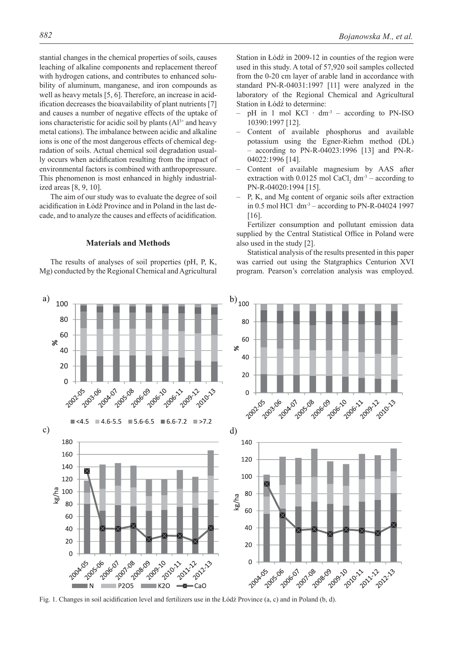stantial changes in the chemical properties of soils, causes leaching of alkaline components and replacement thereof with hydrogen cations, and contributes to enhanced solubility of aluminum, manganese, and iron compounds as well as heavy metals [5, 6]. Therefore, an increase in acidification decreases the bioavailability of plant nutrients [7] and causes a number of negative effects of the uptake of ions characteristic for acidic soil by plants  $(A<sup>3+</sup>$  and heavy metal cations). The imbalance between acidic and alkaline ions is one of the most dangerous effects of chemical degradation of soils. Actual chemical soil degradation usually occurs when acidification resulting from the impact of environmental factors is combined with anthropopressure. This phenomenon is most enhanced in highly industrialized areas [8, 9, 10].

The aim of our study was to evaluate the degree of soil acidification in Łódź Province and in Poland in the last decade, and to analyze the causes and effects of acidification.

### **Materials and Methods**

The results of analyses of soil properties (pH, P, K, Mg) conducted by the Regional Chemical and Agricultural Station in Łódź in 2009-12 in counties of the region were used in this study. A total of 57,920 soil samples collected from the 0-20 cm layer of arable land in accordance with standard PN-R-04031:1997 [11] were analyzed in the laboratory of the Regional Chemical and Agricultural Station in Łódź to determine:

- pH in 1 mol KCl  $\cdot$  dm<sup>-3</sup> according to PN-ISO 10390:1997 [12].
- Content of available phosphorus and available potassium using the Egner-Riehm method (DL) – according to PN-R-04023:1996 [13] and PN-R-04022:1996 [14].
- Content of available magnesium by AAS after extraction with  $0.0125$  mol CaCl<sub>2</sub> dm<sup>-3</sup> – according to PN-R-04020:1994 [15].
- P, K, and Mg content of organic soils after extraction in 0.5 mol HCl  $dm^3$  – according to PN-R-04024 1997 [16].

Fertilizer consumption and pollutant emission data supplied by the Central Statistical Office in Poland were also used in the study [2].

Statistical analysis of the results presented in this paper was carried out using the Statgraphics Centurion XVI program. Pearson's correlation analysis was employed.



Fig. 1. Changes in soil acidification level and fertilizers use in the Łódź Province  $(a, c)$  and in Poland  $(b, d)$ .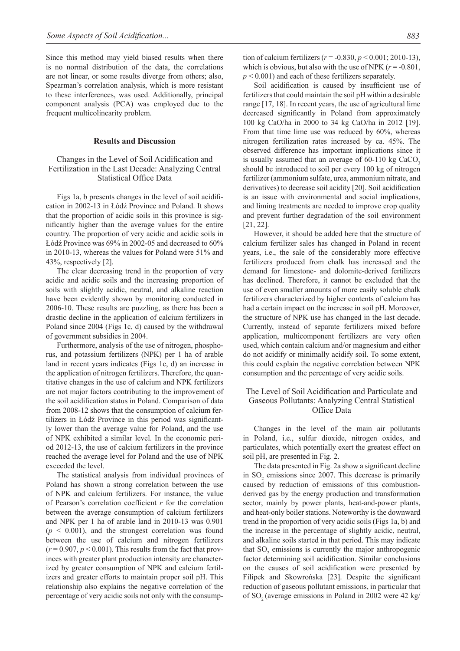Since this method may yield biased results when there is no normal distribution of the data, the correlations are not linear, or some results diverge from others; also, Spearman's correlation analysis, which is more resistant to these interferences, was used. Additionally, principal component analysis (PCA) was employed due to the frequent multicolinearity problem.

#### **Results and Discussion**

# Changes in the Level of Soil Acidification and Fertilization in the Last Decade: Analyzing Central Statistical Office Data

Figs 1a, b presents changes in the level of soil acidification in 2002-13 in Łódź Province and Poland. It shows that the proportion of acidic soils in this province is significantly higher than the average values for the entire country. The proportion of very acidic and acidic soils in Łódź Province was 69% in 2002-05 and decreased to 60% in 2010-13, whereas the values for Poland were 51% and 43%, respectively [2].

The clear decreasing trend in the proportion of very acidic and acidic soils and the increasing proportion of soils with slightly acidic, neutral, and alkaline reaction have been evidently shown by monitoring conducted in 2006-10. These results are puzzling, as there has been a drastic decline in the application of calcium fertilizers in Poland since 2004 (Figs 1c, d) caused by the withdrawal of government subsidies in 2004.

Furthermore, analysis of the use of nitrogen, phosphorus, and potassium fertilizers (NPK) per 1 ha of arable land in recent years indicates (Figs 1c, d) an increase in the application of nitrogen fertilizers. Therefore, the quantitative changes in the use of calcium and NPK fertilizers are not major factors contributing to the improvement of the soil acidification status in Poland. Comparison of data from 2008-12 shows that the consumption of calcium fertilizers in Łódź Province in this period was significantly lower than the average value for Poland, and the use of NPK exhibited a similar level. In the economic period 2012-13, the use of calcium fertilizers in the province reached the average level for Poland and the use of NPK exceeded the level.

The statistical analysis from individual provinces of Poland has shown a strong correlation between the use of NPK and calcium fertilizers. For instance, the value of Pearson's correlation coefficient r for the correlation between the average consumption of calcium fertilizers and NPK per 1 ha of arable land in 2010-13 was 0.901  $(p \leq 0.001)$ , and the strongest correlation was found between the use of calcium and nitrogen fertilizers  $(r = 0.907, p \le 0.001)$ . This results from the fact that provinces with greater plant production intensity are characterized by greater consumption of NPK and calcium fertilizers and greater efforts to maintain proper soil pH. This relationship also explains the negative correlation of the percentage of very acidic soils not only with the consumption of calcium fertilizers (*r* = -0.830, *p* < 0.001; 2010-13), which is obvious, but also with the use of NPK  $(r = -0.801)$ ,  $p < 0.001$ ) and each of these fertilizers separately.

Soil acidification is caused by insufficient use of fertilizers that could maintain the soil pH within a desirable range [17, 18]. In recent years, the use of agricultural lime decreased significantly in Poland from approximately 100 kg CaO/ha in 2000 to 34 kg CaO/ha in 2012 [19]. From that time lime use was reduced by 60%, whereas nitrogen fertilization rates increased by ca. 45%. The observed difference has important implications since it is usually assumed that an average of  $60-110$  kg CaCO<sub>3</sub>. should be introduced to soil per every 100 kg of nitrogen fertilizer (ammonium sulfate, urea, ammonium nitrate, and derivatives) to decrease soil acidity [20]. Soil acidification is an issue with environmental and social implications, and liming treatments are needed to improve crop quality and prevent further degradation of the soil environment [21, 22].

However, it should be added here that the structure of calcium fertilizer sales has changed in Poland in recent years, i.e., the sale of the considerably more effective fertilizers produced from chalk has increased and the demand for limestone- and dolomite-derived fertilizers has declined. Therefore, it cannot be excluded that the use of even smaller amounts of more easily soluble chalk fertilizers characterized by higher contents of calcium has had a certain impact on the increase in soil pH. Moreover, the structure of NPK use has changed in the last decade. Currently, instead of separate fertilizers mixed before application, multicomponent fertilizers are very often used, which contain calcium and/or magnesium and either do not acidify or minimally acidify soil. To some extent, this could explain the negative correlation between NPK consumption and the percentage of very acidic soils.

# The Level of Soil Acidification and Particulate and Gaseous Pollutants: Analyzing Central Statistical Office Data

Changes in the level of the main air pollutants in Poland, i.e., sulfur dioxide, nitrogen oxides, and particulates, which potentially exert the greatest effect on soil pH, are presented in Fig. 2.

The data presented in Fig. 2a show a significant decline in  $SO_2$  emissions since 2007. This decrease is primarily caused by reduction of emissions of this combustionderived gas by the energy production and transformation sector, mainly by power plants, heat-and-power plants, and heat-only boiler stations. Noteworthy is the downward trend in the proportion of very acidic soils (Figs 1a, b) and the increase in the percentage of slightly acidic, neutral, and alkaline soils started in that period. This may indicate that  $SO_2$  emissions is currently the major anthropogenic factor determining soil acidification. Similar conclusions on the causes of soil acidification were presented by Filipek and Skowrońska [23]. Despite the significant reduction of gaseous pollutant emissions, in particular that of  $SO_2$  (average emissions in Poland in 2002 were 42 kg/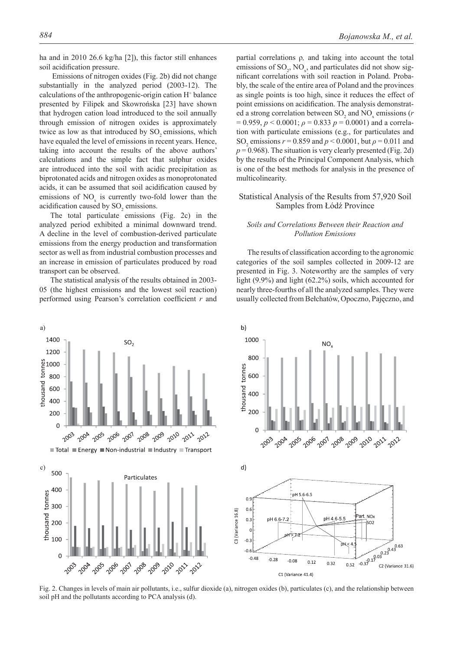Emissions of nitrogen oxides (Fig. 2b) did not change substantially in the analyzed period (2003-12). The calculations of the anthropogenic-origin cation H<sup>+</sup> balance presented by Filipek and Skowrońska [23] have shown that hydrogen cation load introduced to the soil annually through emission of nitrogen oxides is approximately twice as low as that introduced by SO<sub>2</sub> emissions, which have equaled the level of emissions in recent years. Hence, taking into account the results of the above authors' calculations and the simple fact that sulphur oxides are introduced into the soil with acidic precipitation as biprotonated acids and nitrogen oxides as monoprotonated acids, it can be assumed that soil acidification caused by emissions of  $NO<sub>x</sub>$  is currently two-fold lower than the acidification caused by  $SO_2$  emissions.

The total particulate emissions (Fig. 2c) in the analyzed period exhibited a minimal downward trend. A decline in the level of combustion-derived particulate emissions from the energy production and transformation sector as well as from industrial combustion processes and an increase in emission of particulates produced by road transport can be observed.

The statistical analysis of the results obtained in 2003- 05 (the highest emissions and the lowest soil reaction) performed using Pearson's correlation coefficient r and



partial correlations ρ*,* and taking into account the total emissions of  $\text{SO}_2$ ,  $\text{NO}_x$ , and particulates did not show significant correlations with soil reaction in Poland. Probably, the scale of the entire area of Poland and the provinces as single points is too high, since it reduces the effect of point emissions on acidification. The analysis demonstrated a strong correlation between  $SO_2$  and  $NO_x$  emissions ( $r$ = 0.959, *p* < 0.0001; *ρ* = 0.833 *p* = 0.0001) and a correlation with particulate emissions (e.g., for particulates and SO<sub>2</sub> emissions  $r = 0.859$  and  $p < 0.0001$ , but  $\rho = 0.011$  and  $p = 0.968$ ). The situation is very clearly presented (Fig. 2d) by the results of the Principal Component Analysis, which is one of the best methods for analysis in the presence of multicolinearity.

# Statistical Analysis of the Results from 57,920 Soil Samples from Łódź Province

# *Soils and Correlations Between their Reaction and Pollution Emissions*

The results of classification according to the agronomic categories of the soil samples collected in 2009-12 are presented in Fig. 3. Noteworthy are the samples of very light (9.9%) and light (62.2%) soils, which accounted for nearly three-fourths of all the analyzed samples. They were usually collected from Bełchatów, Opoczno, Pajęczno, and



Fig. 2. Changes in levels of main air pollutants, i.e., sulfur dioxide (a), nitrogen oxides (b), particulates (c), and the relationship between soil pH and the pollutants according to PCA analysis (d).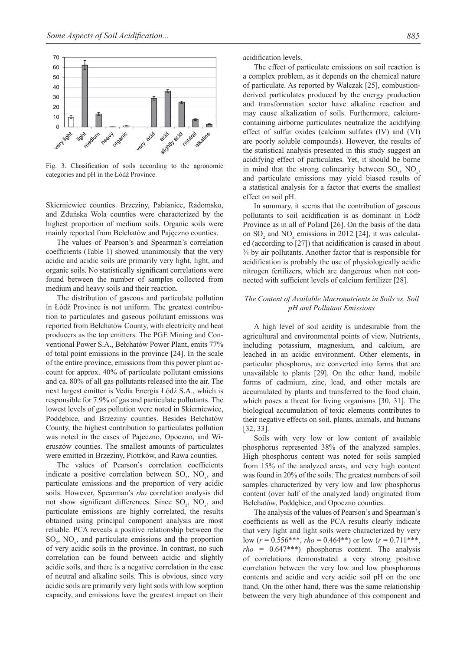

Fig. 3. Classification of soils according to the agronomic categories and pH in the Łódź Province.

Skierniewice counties. Brzeziny, Pabianice, Radomsko, and Zduńska Wola counties were characterized by the highest proportion of medium soils. Organic soils were mainly reported from Bełchatów and Pajęczno counties.

The values of Pearson's and Spearman's correlation coefficients (Table 1) showed unanimously that the very acidic and acidic soils are primarily very light, light, and organic soils. No statistically significant correlations were found between the number of samples collected from medium and heavy soils and their reaction.

The distribution of gaseous and particulate pollution in Łódź Province is not uniform. The greatest contribution to particulates and gaseous pollutant emissions was reported from Bełchatów County, with electricity and heat producers as the top emitters. The PGE Mining and Conventional Power S.A., Bełchatów Power Plant, emits 77% of total point emissions in the province [24]. In the scale of the entire province, emissions from this power plant account for approx. 40% of particulate pollutant emissions and ca. 80% of all gas pollutants released into the air. The next largest emitter is Vedia Energia Łódź S.A., which is responsible for 7.9% of gas and particulate pollutants. The lowest levels of gas pollution were noted in Skierniewice, Poddębice, and Brzeziny counties. Besides Bełchatów County, the highest contribution to particulates pollution was noted in the cases of Pajeczno, Opoczno, and Wieruszów counties. The smallest amounts of particulates were emitted in Brzeziny, Piotrków, and Rawa counties.

The values of Pearson's correlation coefficients indicate a positive correlation between  $SO_2$ ,  $NO_x$ , and particulate emissions and the proportion of very acidic soils. However, Spearman's *rho* correlation analysis did not show significant differences. Since  $SO_2$ ,  $NO_x$ , and particulate emissions are highly correlated, the results obtained using principal component analysis are most reliable. PCA reveals a positive relationship between the  $SO_2$ ,  $NO_x$ , and particulate emissions and the proportion of very acidic soils in the province. In contrast, no such correlation can be found between acidic and slightly acidic soils, and there is a negative correlation in the case of neutral and alkaline soils. This is obvious, since very acidic soils are primarily very light soils with low sorption capacity, and emissions have the greatest impact on their

acidification levels.

The effect of particulate emissions on soil reaction is a complex problem, as it depends on the chemical nature of particulate. As reported by Walczak [25], combustionderived particulates produced by the energy production and transformation sector have alkaline reaction and may cause alkalization of soils. Furthermore, calciumcontaining airborne particulates neutralize the acidifying effect of sulfur oxides (calcium sulfates (IV) and (VI) are poorly soluble compounds). However, the results of the statistical analysis presented in this study suggest an acidifying effect of particulates. Yet, it should be borne in mind that the strong colinearity between  $SO_2$ ,  $NO_x$ , and particulate emissions may yield biased results of a statistical analysis for a factor that exerts the smallest effect on soil pH.

In summary, it seems that the contribution of gaseous pollutants to soil acidification is as dominant in Łódź Province as in all of Poland [26]. On the basis of the data on  $SO_2$  and  $NO_x$  emissions in 2012 [24], it was calculated (according to [27]) that acidification is caused in about ¾ by air pollutants. Another factor that is responsible for acidification is probably the use of physiologically acidic nitrogen fertilizers, which are dangerous when not connected with sufficient levels of calcium fertilizer [28].

# *The Content of Available Macronutrients in Soils vs. Soil pH and Pollutant Emissions*

A high level of soil acidity is undesirable from the agricultural and environmental points of view. Nutrients, including potassium, magnesium, and calcium, are leached in an acidic environment. Other elements, in particular phosphorus, are converted into forms that are unavailable to plants [29]. On the other hand, mobile forms of cadmium, zinc, lead, and other metals are accumulated by plants and transferred to the food chain, which poses a threat for living organisms [30, 31]. The biological accumulation of toxic elements contributes to their negative effects on soil, plants, animals, and humans [32, 33].

Soils with very low or low content of available phosphorus represented 38% of the analyzed samples. High phosphorus content was noted for soils sampled from 15% of the analyzed areas, and very high content was found in 20% of the soils. The greatest numbers of soil samples characterized by very low and low phosphorus content (over half of the analyzed land) originated from Bełchatów, Poddębice, and Opoczno counties.

The analysis of the values of Pearson's and Spearman's coefficients as well as the PCA results clearly indicate that very light and light soils were characterized by very low  $(r = 0.556***, rho = 0.464**)$  or low  $(r = 0.711***,$ *rho* = 0.647\*\*\*) phosphorus content. The analysis of correlations demonstrated a very strong positive correlation between the very low and low phosphorous contents and acidic and very acidic soil pH on the one hand. On the other hand, there was the same relationship between the very high abundance of this component and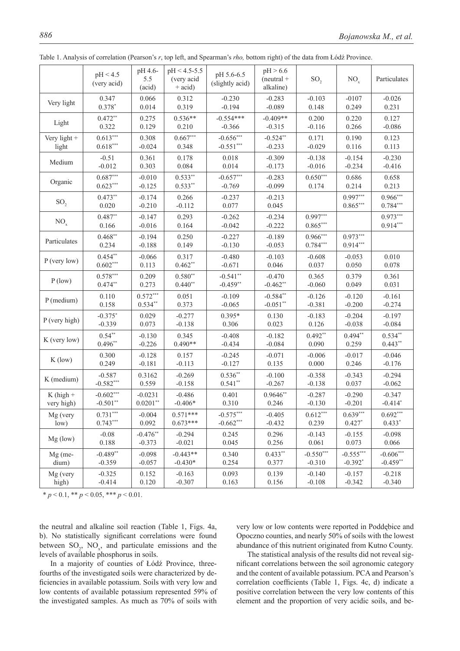|                 | pH < 4.5<br>(very acid) | pH 4.6-<br>5.5<br>(acid) | $pH < 4.5 - 5.5$<br>(very acid<br>$+$ acid) | pH 5.6-6.5<br>(slightly acid) | pH > 6.6<br>$(n$ eutral +<br>alkaline) | SO <sub>2</sub>          | $NO_{x}$                 | Particulates             |
|-----------------|-------------------------|--------------------------|---------------------------------------------|-------------------------------|----------------------------------------|--------------------------|--------------------------|--------------------------|
| Very light      | 0.347                   | 0.066                    | 0.312                                       | $-0.230$                      | $-0.283$                               | $-0.103$                 | $-0107$                  | $-0.026$                 |
|                 | $0.378*$                | 0.014                    | 0.319                                       | $-0.194$                      | $-0.089$                               | 0.148                    | 0.249                    | 0.231                    |
| Light           | $0.472**$               | 0.275                    | $0.536**$                                   | $-0.554***$                   | $-0.409**$                             | 0.200                    | 0.220                    | 0.127                    |
|                 | 0.322                   | 0.129                    | 0.210                                       | $-0.366$                      | $-0.315$                               | $-0.116$                 | 0.266                    | $-0.086$                 |
| Very light +    | $0.613***$              | 0.308                    | $0.667***$                                  | $-0.656***$                   | $-0.524**$                             | 0.171                    | 0.190                    | 0.123                    |
| light           | $0.618***$              | $-0.024$                 | 0.348                                       | $-0.551***$                   | $-0.233$                               | $-0.029$                 | 0.116                    | 0.113                    |
| Medium          | $-0.51$                 | 0.361                    | 0.178                                       | 0.018                         | $-0.309$                               | $-0.138$                 | $-0.154$                 | $-0.230$                 |
|                 | $-0.012$                | 0.303                    | 0.084                                       | 0.014                         | $-0.173$                               | $-0.016$                 | $-0.234$                 | $-0.416$                 |
| Organic         | $0.687***$              | $-0.010$                 | $0.533**$                                   | $-0.657***$                   | $-0.283$                               | $0.650***$               | 0.686                    | 0.658                    |
|                 | $0.623***$              | $-0.125$                 | $0.533**$                                   | $-0.769$                      | $-0.099$                               | 0.174                    | 0.214                    | 0.213                    |
| SO <sub>2</sub> | $0.473**$<br>0.020      | $-0.174$<br>$-0.210$     | 0.266<br>$-0.112$                           | $-0.237$<br>0.077             | $-0.213$<br>0.045                      |                          | $0.997***$<br>$0.865***$ | $0.966***$<br>$0.784***$ |
| NO <sub>x</sub> | $0.487**$<br>0.166      | $-0.147$<br>$-0.016$     | 0.293<br>0.164                              | $-0.262$<br>$-0.042$          | $-0.234$<br>$-0.222$                   | $0.997***$<br>$0.865***$ |                          | $0.973***$<br>$0.914***$ |
| Particulates    | $0.468**$<br>0.234      | $-0.194$<br>$-0.188$     | 0.250<br>0.149                              | $-0.227$<br>$-0.130$          | $-0.189$<br>$-0.053$                   | $0.966***$<br>$0.784***$ | $0.973***$<br>$0.914***$ |                          |
| $P$ (very low)  | $0.454**$               | $-0.066$                 | 0.317                                       | $-0.480$                      | $-0.103$                               | $-0.608$                 | $-0.053$                 | 0.010                    |
|                 | $0.602***$              | 0.113                    | $0.462**$                                   | $-0.671$                      | 0.046                                  | 0.037                    | 0.050                    | 0.078                    |
| $P$ (low)       | $0.578***$              | 0.209                    | $0.580**$                                   | $-0.541**$                    | $-0.470$                               | 0.365                    | 0.379                    | 0.361                    |
|                 | $0.474**$               | 0.273                    | $0.440**$                                   | $-0.459**$                    | $-0.462**$                             | $-0.060$                 | 0.049                    | 0.031                    |
| P (medium)      | 0.110                   | $0.572***$               | 0.051                                       | $-0.109$                      | $-0.584**$                             | $-0.126$                 | $-0.120$                 | $-0.161$                 |
|                 | 0.158                   | $0.534**$                | 0.373                                       | $-0.065$                      | $-0.051**$                             | $-0.381$                 | $-0.200$                 | $-0.274$                 |
| P (very high)   | $-0.375*$               | 0.029                    | $-0.277$                                    | $0.395*$                      | 0.130                                  | $-0.183$                 | $-0.204$                 | $-0.197$                 |
|                 | $-0.339$                | 0.073                    | $-0.138$                                    | 0.306                         | 0.023                                  | 0.126                    | $-0.038$                 | $-0.084$                 |
| K (very low)    | $0.54**$                | $-0.130$                 | 0.345                                       | $-0.408$                      | $-0.182$                               | $0.492**$                | $0.494**$                | $0.534**$                |
|                 | $0.496**$               | $-0.226$                 | $0.490**$                                   | $-0.434$                      | $-0.084$                               | 0.090                    | 0.259                    | $0.443**$                |
| $K$ (low)       | 0.300                   | $-0.128$                 | 0.157                                       | $-0.245$                      | $-0.071$                               | $-0.006$                 | $-0.017$                 | $-0.046$                 |
|                 | 0.249                   | $-0.181$                 | $-0.113$                                    | $-0.127$                      | 0.135                                  | 0.000                    | 0.246                    | $-0.176$                 |
| K (medium)      | $-0.587$                | 0.3162                   | $-0.269$                                    | $0.536**$                     | $-0.100$                               | $-0.358$                 | $-0.343$                 | $-0.294$                 |
|                 | $-0.582***$             | 0.559                    | $-0.158$                                    | $0.541**$                     | $-0.267$                               | $-0.138$                 | 0.037                    | $-0.062$                 |
| $K$ (high +     | $-0.602***$             | $-0.0231$                | $-0.486$                                    | 0.401                         | $0.9646**$                             | $-0.287$                 | $-0.290$                 | $-0.347$                 |
| very high)      | $-0.501**$              | $0.0201**$               | $-0.406*$                                   | 0.310                         | 0.246                                  | $-0.130$                 | $-0.201$                 | $-0.414*$                |
| Mg (very        | $0.731***$              | $-0.004$                 | $0.571***$                                  | $-0.575***$                   | $-0.405$                               | $0.612***$               | $0.639***$               | $0.692***$               |
| low)            | $0.743***$              | 0.092                    | $0.673***$                                  | $-0.662***$                   | $-0.432$                               | 0.239                    | $0.427*$                 | $0.433*$                 |
| Mg (low)        | $-0.08$                 | $-0.476**$               | $-0.294$                                    | 0.245                         | 0.296                                  | $-0.143$                 | $-0.155$                 | $-0.098$                 |
|                 | 0.188                   | $-0.373$                 | $-0.021$                                    | 0.045                         | 0.256                                  | 0.061                    | 0.073                    | 0.066                    |
| $Mg$ (me-       | $-0.489**$              | $-0.098$                 | $-0.443**$                                  | 0.340                         | $0.433**$                              | $-0.550***$              | $-0.555***$              | $-0.606***$              |
| dium)           | $-0.359$                | $-0.057$                 | $-0.430*$                                   | 0.254                         | 0.377                                  | $-0.310$                 | $-0.392*$                | $-0.459**$               |
| Mg (very        | $-0.325$                | 0.152                    | $-0.163$                                    | 0.093                         | 0.139                                  | $-0.140$                 | $-0.157$                 | $-0.218$                 |
| high)           | $-0.414$                | 0.120                    | $-0.307$                                    | 0.163                         | 0.156                                  | $-0.108$                 | $-0.342$                 | $-0.340$                 |

Table 1. Analysis of correlation (Pearson's *r*, top left, and Spearman's *rho,* bottom right) of the data from Łódź Province.

 $* p < 0.1, ** p < 0.05, *** p < 0.01.$ 

the neutral and alkaline soil reaction (Table 1, Figs. 4a, b). No statistically significant correlations were found between  $SO_2$ ,  $NO_x$ , and particulate emissions and the levels of available phosphorus in soils.

In a majority of counties of Łódź Province, threefourths of the investigated soils were characterized by deficiencies in available potassium. Soils with very low and low contents of available potassium represented 59% of the investigated samples. As much as 70% of soils with very low or low contents were reported in Poddębice and Opoczno counties, and nearly 50% of soils with the lowest abundance of this nutrient originated from Kutno County.

The statistical analysis of the results did not reveal significant correlations between the soil agronomic category and the content of available potassium. PCA and Pearson's correlation coefficients (Table 1, Figs. 4c, d) indicate a positive correlation between the very low contents of this element and the proportion of very acidic soils, and be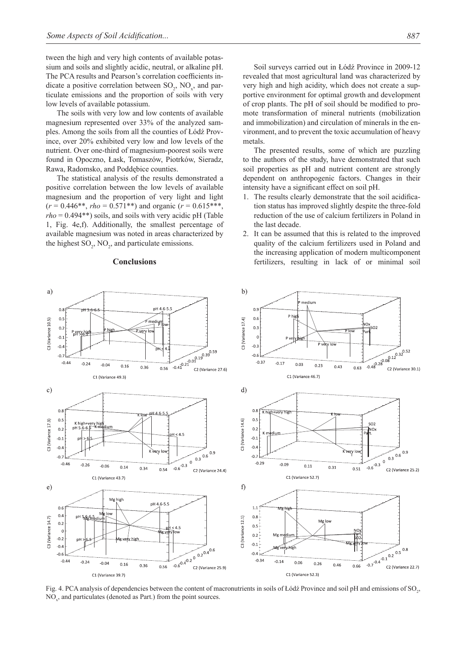tween the high and very high contents of available potassium and soils and slightly acidic, neutral, or alkaline pH. The PCA results and Pearson's correlation coefficients indicate a positive correlation between  $SO_2$ ,  $NO_x$ , and particulate emissions and the proportion of soils with very low levels of available potassium.

The soils with very low and low contents of available magnesium represented over 33% of the analyzed samples. Among the soils from all the counties of Łódź Province, over 20% exhibited very low and low levels of the nutrient. Over one-third of magnesium-poorest soils were found in Opoczno, Łask, Tomaszów, Piotrków, Sieradz, Rawa, Radomsko, and Poddębice counties.

The statistical analysis of the results demonstrated a positive correlation between the low levels of available magnesium and the proportion of very light and light  $(r = 0.446**, rho = 0.571**)$  and organic  $(r = 0.615***,$ *rho* = 0.494\*\*) soils, and soils with very acidic pH (Table 1, Fig. 4e,f). Additionally, the smallest percentage of available magnesium was noted in areas characterized by the highest  $SO_2$ ,  $NO_2$ , and particulate emissions.

#### **Conclusions**

Soil surveys carried out in Łódź Province in 2009-12 revealed that most agricultural land was characterized by very high and high acidity, which does not create a supportive environment for optimal growth and development of crop plants. The pH of soil should be modified to promote transformation of mineral nutrients (mobilization and immobilization) and circulation of minerals in the environment, and to prevent the toxic accumulation of heavy metals.

The presented results, some of which are puzzling to the authors of the study, have demonstrated that such soil properties as pH and nutrient content are strongly dependent on anthropogenic factors. Changes in their intensity have a significant effect on soil pH.

- 1. The results clearly demonstrate that the soil acidification status has improved slightly despite the three-fold reduction of the use of calcium fertilizers in Poland in the last decade.
- 2. It can be assumed that this is related to the improved quality of the calcium fertilizers used in Poland and the increasing application of modern multicomponent fertilizers, resulting in lack of or minimal soil



Fig. 4. PCA analysis of dependencies between the content of macronutrients in soils of Łódź Province and soil pH and emissions of SO<sub>2</sub>, NO<sub>x</sub>, and particulates (denoted as Part.) from the point sources.